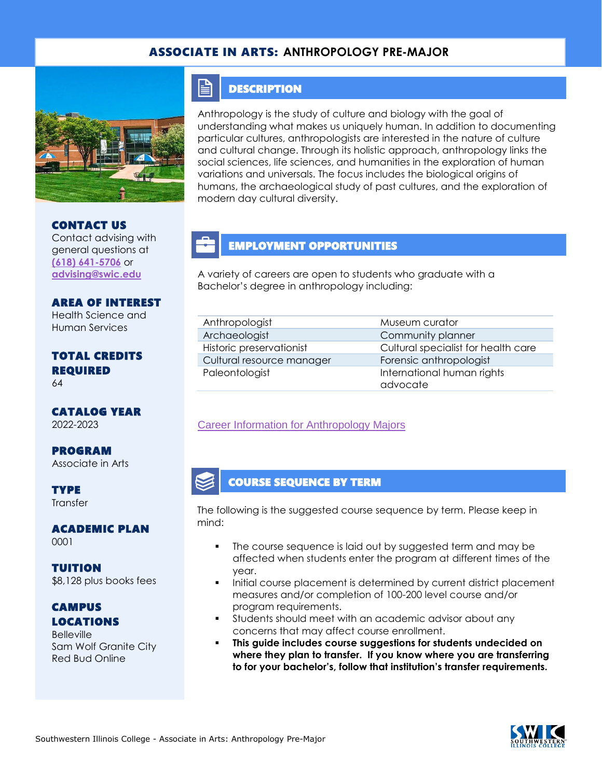#### ASSOCIATE IN ARTS: **ANTHROPOLOGY PRE-MAJOR**



CONTACT US Contact advising with general questions at **[\(618\) 641-5706](tel:%20(618)%20641-5706)** or **[advising@swic.edu](mailto:advising@swic.edu)**

#### AREA OF INTEREST Health Science and

Human Services

#### TOTAL CREDITS REQUIRED 64

CATALOG YEAR 2022-2023

PROGRAM Associate in Arts

**TYPE Transfer** 

ACADEMIC PLAN 0001

TUITION \$8,128 plus books fees

## **CAMPUS** LOCATIONS

**Belleville** Sam Wolf Granite City Red Bud Online

#### E **DESCRIPTION**

Anthropology is the study of culture and biology with the goal of understanding what makes us uniquely human. In addition to documenting particular cultures, anthropologists are interested in the nature of culture and cultural change. Through its holistic approach, anthropology links the social sciences, life sciences, and humanities in the exploration of human variations and universals. The focus includes the biological origins of humans, the archaeological study of past cultures, and the exploration of modern day cultural diversity.

## EMPLOYMENT OPPORTUNITIES

A variety of careers are open to students who graduate with a Bachelor's degree in anthropology including:

| Anthropologist            | Museum curator                         |
|---------------------------|----------------------------------------|
| Archaeologist             | Community planner                      |
| Historic preservationist  | Cultural specialist for health care    |
| Cultural resource manager | Forensic anthropologist                |
| Paleontologist            | International human rights<br>advocate |

#### [Career Information for Anthropology Majors](https://www.onetonline.org/find/quick?s=anthropology)

#### COURSE SEQUENCE BY TERM

The following is the suggested course sequence by term. Please keep in mind:

- The course sequence is laid out by suggested term and may be affected when students enter the program at different times of the year.
- Initial course placement is determined by current district placement measures and/or completion of 100-200 level course and/or program requirements.
- **•** Students should meet with an academic advisor about any concerns that may affect course enrollment.
- **This guide includes course suggestions for students undecided on where they plan to transfer. If you know where you are transferring to for your bachelor's, follow that institution's transfer requirements.**